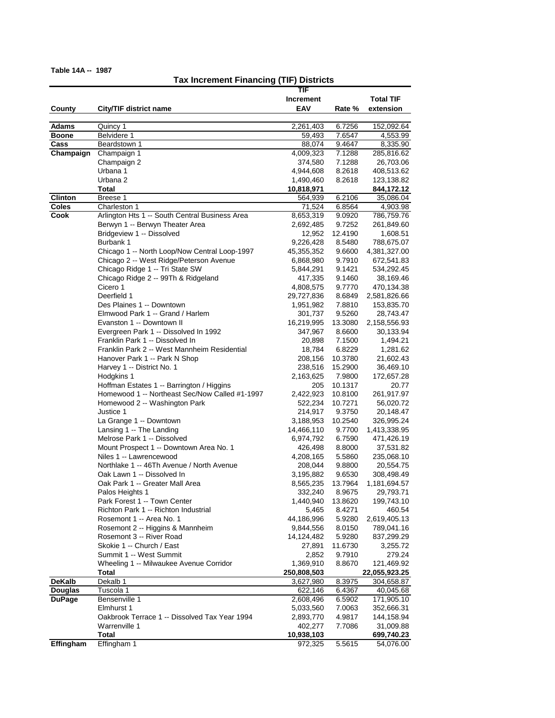**Table 14A -- 1987**

## **Tax Increment Financing (TIF) Districts**

|                          |                                                | TIF              |         |                  |
|--------------------------|------------------------------------------------|------------------|---------|------------------|
|                          |                                                | <b>Increment</b> |         | <b>Total TIF</b> |
| County                   | City/TIF district name                         | EAV              | Rate %  | extension        |
|                          |                                                |                  |         |                  |
| <b>Adams</b>             | Quincy 1                                       | 2,261,403        | 6.7256  | 152,092.64       |
| <b>Boone</b>             | Belvidere 1                                    | 59,493           | 7.6547  | 4,553.99         |
| $\overline{\text{Cass}}$ | Beardstown 1                                   | 88,074           | 9.4647  | 8,335.90         |
| Champaign                | Champaign 1                                    | 4,009,323        | 7.1288  | 285,816.62       |
|                          | Champaign 2                                    | 374,580          | 7.1288  | 26,703.06        |
|                          | Urbana 1                                       |                  |         |                  |
|                          |                                                | 4,944,608        | 8.2618  | 408,513.62       |
|                          | Urbana <sub>2</sub>                            | 1,490,460        | 8.2618  | 123,138.82       |
|                          | Total                                          | 10,818,971       |         | 844,172.12       |
| <b>Clinton</b>           | Breese 1                                       | 564,939          | 6.2106  | 35,086.04        |
| <b>Coles</b>             | Charleston 1                                   | 71,524           | 6.8564  | 4,903.98         |
| Cook                     | Arlington Hts 1 -- South Central Business Area | 8,653,319        | 9.0920  | 786,759.76       |
|                          | Berwyn 1 -- Berwyn Theater Area                | 2,692,485        | 9.7252  | 261,849.60       |
|                          | Bridgeview 1 -- Dissolved                      | 12,952           | 12.4190 | 1,608.51         |
|                          | Burbank 1                                      | 9,226,428        | 8.5480  | 788,675.07       |
|                          | Chicago 1 -- North Loop/Now Central Loop-1997  | 45,355,352       | 9.6600  | 4,381,327.00     |
|                          | Chicago 2 -- West Ridge/Peterson Avenue        | 6,868,980        | 9.7910  | 672,541.83       |
|                          | Chicago Ridge 1 -- Tri State SW                | 5,844,291        | 9.1421  | 534,292.45       |
|                          | Chicago Ridge 2 -- 99Th & Ridgeland            | 417,335          | 9.1460  | 38,169.46        |
|                          | Cicero 1                                       | 4,808,575        | 9.7770  | 470,134.38       |
|                          | Deerfield 1                                    | 29,727,836       | 8.6849  | 2,581,826.66     |
|                          | Des Plaines 1 -- Downtown                      | 1,951,982        | 7.8810  | 153,835.70       |
|                          | Elmwood Park 1 -- Grand / Harlem               |                  |         |                  |
|                          |                                                | 301,737          | 9.5260  | 28,743.47        |
|                          | Evanston 1 -- Downtown II                      | 16,219,995       | 13.3080 | 2,158,556.93     |
|                          | Evergreen Park 1 -- Dissolved In 1992          | 347,967          | 8.6600  | 30,133.94        |
|                          | Franklin Park 1 -- Dissolved In                | 20,898           | 7.1500  | 1,494.21         |
|                          | Franklin Park 2 -- West Mannheim Residential   | 18,784           | 6.8229  | 1,281.62         |
|                          | Hanover Park 1 -- Park N Shop                  | 208,156          | 10.3780 | 21,602.43        |
|                          | Harvey 1 -- District No. 1                     | 238,516          | 15.2900 | 36,469.10        |
|                          | Hodgkins 1                                     | 2,163,625        | 7.9800  | 172,657.28       |
|                          | Hoffman Estates 1 -- Barrington / Higgins      | 205              | 10.1317 | 20.77            |
|                          | Homewood 1 -- Northeast Sec/Now Called #1-1997 | 2,422,923        | 10.8100 | 261,917.97       |
|                          | Homewood 2 -- Washington Park                  | 522,234          | 10.7271 | 56,020.72        |
|                          | Justice 1                                      | 214,917          | 9.3750  | 20,148.47        |
|                          | La Grange 1 -- Downtown                        | 3,188,953        | 10.2540 | 326,995.24       |
|                          | Lansing 1 -- The Landing                       | 14,466,110       | 9.7700  | 1,413,338.95     |
|                          | Melrose Park 1 -- Dissolved                    | 6,974,792        | 6.7590  | 471,426.19       |
|                          | Mount Prospect 1 -- Downtown Area No. 1        | 426,498          | 8.8000  | 37,531.82        |
|                          | Niles 1 -- Lawrencewood                        | 4,208,165        | 5.5860  | 235,068.10       |
|                          | Northlake 1 -- 46Th Avenue / North Avenue      | 208,044          | 9.8800  | 20,554.75        |
|                          | Oak Lawn 1 -- Dissolved In                     |                  |         | 308,498.49       |
|                          | Oak Park 1 -- Greater Mall Area                | 3,195,882        | 9.6530  |                  |
|                          |                                                | 8,565,235        | 13.7964 | 1,181,694.57     |
|                          | Palos Heights 1                                | 332,240          | 8.9675  | 29,793.71        |
|                          | Park Forest 1 -- Town Center                   | 1,440,940        | 13.8620 | 199,743.10       |
|                          | Richton Park 1 -- Richton Industrial           | 5,465            | 8.4271  | 460.54           |
|                          | Rosemont 1 -- Area No. 1                       | 44,186,996       | 5.9280  | 2,619,405.13     |
|                          | Rosemont 2 -- Higgins & Mannheim               | 9,844,556        | 8.0150  | 789,041.16       |
|                          | Rosemont 3 -- River Road                       | 14,124,482       | 5.9280  | 837,299.29       |
|                          | Skokie 1 -- Church / East                      | 27,891           | 11.6730 | 3,255.72         |
|                          | Summit 1 -- West Summit                        | 2,852            | 9.7910  | 279.24           |
|                          | Wheeling 1 -- Milwaukee Avenue Corridor        | 1,369,910        | 8.8670  | 121,469.92       |
|                          | Total                                          | 250,808,503      |         | 22,055,923.25    |
| <b>DeKalb</b>            | Dekalb 1                                       | 3,627,980        | 8.3975  | 304,658.87       |
| <b>Douglas</b>           | Tuscola 1                                      | 622,146          | 6.4367  | 40,045.68        |
| <b>DuPage</b>            | Bensenville 1                                  | 2,608,496        | 6.5902  | 171,905.10       |
|                          | Elmhurst 1                                     | 5,033,560        | 7.0063  | 352,666.31       |
|                          |                                                |                  |         |                  |
|                          | Oakbrook Terrace 1 -- Dissolved Tax Year 1994  | 2,893,770        | 4.9817  | 144,158.94       |
|                          | Warrenville 1                                  | 402,277          | 7.7086  | 31,009.88        |
|                          | Total                                          | 10,938,103       |         | 699,740.23       |
| Effingham                | Effingham 1                                    | 972,325          | 5.5615  | 54,076.00        |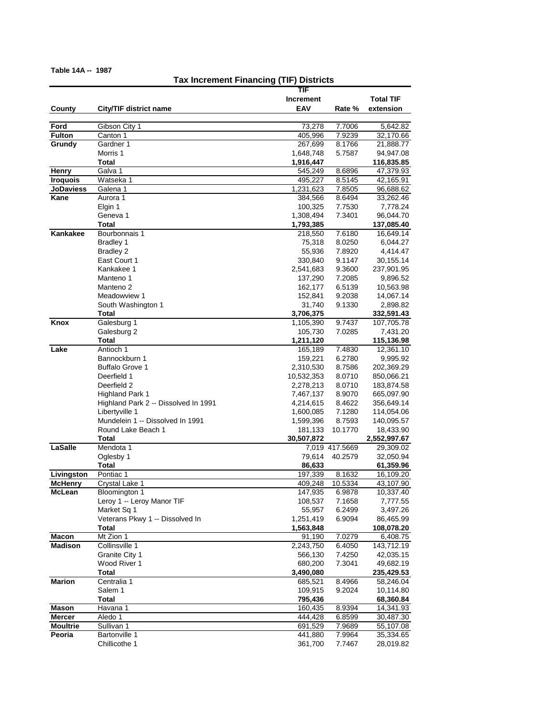**Table 14A -- 1987**

## **Tax Increment Financing (TIF) Districts**

|                              |                                      | TIF                |                   |                        |
|------------------------------|--------------------------------------|--------------------|-------------------|------------------------|
|                              |                                      | <b>Increment</b>   |                   | <b>Total TIF</b>       |
| County                       | City/TIF district name               | EAV                | Rate %            | extension              |
|                              |                                      |                    |                   |                        |
| Ford                         | Gibson City 1                        | 73,278             | 7.7006            | 5,642.82               |
| <b>Fulton</b>                | Canton 1                             | 405,996            | 7.9239            | 32,170.66              |
| Grundy                       | Gardner 1                            | 267,699            | 8.1766            | 21,888.77              |
|                              | Morris 1                             | 1,648,748          | 5.7587            | 94,947.08              |
|                              | Total                                | 1,916,447          |                   | 116,835.85             |
| Henry                        | Galva 1                              | 545,249            | 8.6896            | 47,379.93              |
| <b>Iroquois</b>              | Watseka 1                            | 495,227            | 8.5145            | 42,165.91              |
| <b>JoDaviess</b>             | Galena 1                             | 1,231,623          | 7.8505            | 96,688.62              |
| Kane                         | Aurora 1                             | 384,566            | 8.6494            | 33,262.46              |
|                              | Elgin 1                              | 100,325            | 7.7530            | 7,778.24               |
|                              | Geneva 1                             | 1,308,494          | 7.3401            | 96,044.70              |
|                              | Total                                | 1,793,385          |                   | 137,085.40             |
| Kankakee                     | Bourbonnais 1                        | 218,550            | 7.6180            | 16,649.14              |
|                              | Bradley 1                            | 75,318             | 8.0250            | 6,044.27               |
|                              | <b>Bradley 2</b>                     | 55,936             | 7.8920            | 4,414.47               |
|                              | East Court 1                         | 330,840            | 9.1147            | 30,155.14              |
|                              | Kankakee 1                           | 2,541,683          | 9.3600            | 237,901.95             |
|                              | Manteno 1                            | 137,290            | 7.2085            | 9,896.52               |
|                              | Manteno <sub>2</sub>                 | 162,177            | 6.5139            | 10,563.98              |
|                              | Meadowview 1                         | 152,841            | 9.2038            | 14,067.14              |
|                              | South Washington 1                   | 31,740             | 9.1330            | 2,898.82               |
|                              | <b>Total</b>                         | 3,706,375          |                   | 332,591.43             |
| Knox                         | Galesburg 1                          | 1,105,390          | 9.7437            | 107,705.78             |
|                              | Galesburg 2                          | 105,730            | 7.0285            | 7,431.20               |
|                              | <b>Total</b>                         | 1,211,120          |                   | 115,136.98             |
| Lake                         | Antioch 1                            | 165,189            | 7.4830            | 12,361.10              |
|                              | Bannockburn 1                        | 159,221            | 6.2780            | 9,995.92               |
|                              | Buffalo Grove 1                      | 2,310,530          | 8.7586            | 202,369.29             |
|                              | Deerfield 1                          | 10,532,353         | 8.0710            | 850,066.21             |
|                              | Deerfield 2                          | 2,278,213          | 8.0710            | 183,874.58             |
|                              | <b>Highland Park 1</b>               | 7,467,137          | 8.9070            | 665,097.90             |
|                              | Highland Park 2 -- Dissolved In 1991 | 4,214,615          | 8.4622            | 356,649.14             |
|                              | Libertyville 1                       | 1,600,085          | 7.1280            | 114,054.06             |
|                              | Mundelein 1 -- Dissolved In 1991     | 1,599,396          | 8.7593            | 140,095.57             |
|                              | Round Lake Beach 1                   | 181,133            | 10.1770           | 18,433.90              |
|                              | <b>Total</b>                         | 30,507,872         |                   | 2,552,997.67           |
| LaSalle                      | Mendota 1                            |                    | 7,019 417.5669    | 29,309.02              |
|                              | Oglesby 1                            | 79,614             | 40.2579           | 32,050.94              |
|                              | Total                                | 86,633             |                   | 61,359.96              |
| Livingston<br><b>McHenry</b> | Pontiac 1                            | 197,339            | 8.1632<br>10.5334 | 16,109.20              |
| McLean                       | Crystal Lake 1<br>Bloomington 1      | 409,248<br>147,935 | 6.9878            | 43,107.90              |
|                              | Leroy 1 -- Leroy Manor TIF           | 108,537            |                   | 10,337.40              |
|                              | Market Sq 1                          | 55,957             | 7.1658<br>6.2499  | 7,777.55<br>3,497.26   |
|                              | Veterans Pkwy 1 -- Dissolved In      | 1,251,419          | 6.9094            | 86,465.99              |
|                              | <b>Total</b>                         | 1,563,848          |                   | 108,078.20             |
| <b>Macon</b>                 | Mt Zion 1                            | 91,190             | 7.0279            | 6,408.75               |
| <b>Madison</b>               | Collinsville 1                       | 2,243,750          | 6.4050            | 143,712.19             |
|                              | Granite City 1                       | 566,130            | 7.4250            | 42,035.15              |
|                              | Wood River 1                         | 680,200            | 7.3041            | 49,682.19              |
|                              | <b>Total</b>                         | 3,490,080          |                   | 235,429.53             |
| <b>Marion</b>                | Centralia 1                          | 685,521            | 8.4966            | 58,246.04              |
|                              | Salem 1                              | 109,915            | 9.2024            | 10,114.80              |
|                              | <b>Total</b>                         | 795,436            |                   |                        |
| Mason                        | Havana 1                             | 160,435            | 8.9394            | 68,360.84              |
| <b>Mercer</b>                | Aledo 1                              | 444,428            | 6.8599            | 14,341.93<br>30,487.30 |
| <b>Moultrie</b>              | Sullivan 1                           | 691,529            | 7.9689            |                        |
| Peoria                       | <b>Bartonville 1</b>                 | 441,880            | 7.9964            | 55,107.08<br>35,334.65 |
|                              | Chillicothe 1                        | 361,700            | 7.7467            | 28,019.82              |
|                              |                                      |                    |                   |                        |